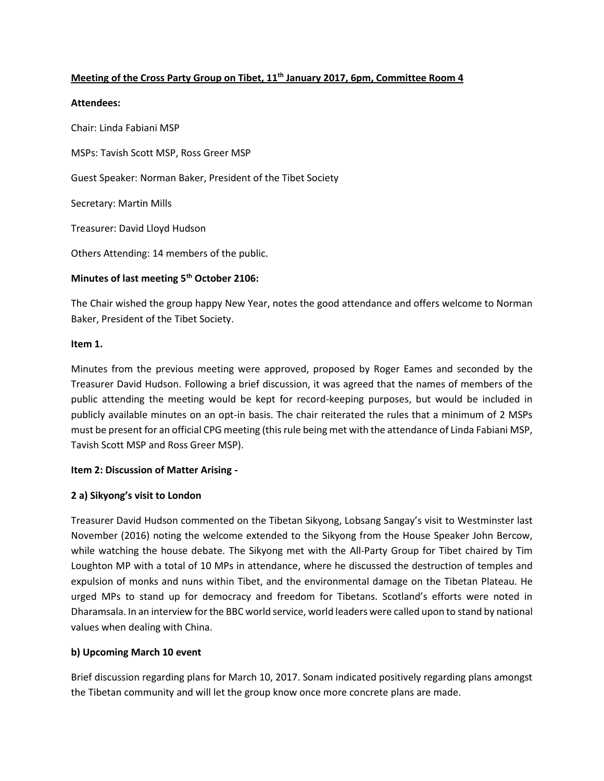# **Meeting of the Cross Party Group on Tibet, 11th January 2017, 6pm, Committee Room 4**

#### **Attendees:**

Chair: Linda Fabiani MSP MSPs: Tavish Scott MSP, Ross Greer MSP Guest Speaker: Norman Baker, President of the Tibet Society Secretary: Martin Mills Treasurer: David Lloyd Hudson Others Attending: 14 members of the public.

# **Minutes of last meeting 5th October 2106:**

The Chair wished the group happy New Year, notes the good attendance and offers welcome to Norman Baker, President of the Tibet Society.

#### **Item 1.**

Minutes from the previous meeting were approved, proposed by Roger Eames and seconded by the Treasurer David Hudson. Following a brief discussion, it was agreed that the names of members of the public attending the meeting would be kept for record-keeping purposes, but would be included in publicly available minutes on an opt-in basis. The chair reiterated the rules that a minimum of 2 MSPs must be present for an official CPG meeting (this rule being met with the attendance of Linda Fabiani MSP, Tavish Scott MSP and Ross Greer MSP).

#### **Item 2: Discussion of Matter Arising -**

#### **2 a) Sikyong's visit to London**

Treasurer David Hudson commented on the Tibetan Sikyong, Lobsang Sangay's visit to Westminster last November (2016) noting the welcome extended to the Sikyong from the House Speaker John Bercow, while watching the house debate. The Sikyong met with the All-Party Group for Tibet chaired by Tim Loughton MP with a total of 10 MPs in attendance, where he discussed the destruction of temples and expulsion of monks and nuns within Tibet, and the environmental damage on the Tibetan Plateau. He urged MPs to stand up for democracy and freedom for Tibetans. Scotland's efforts were noted in Dharamsala. In an interview for the BBC world service, world leaders were called upon to stand by national values when dealing with China.

#### **b) Upcoming March 10 event**

Brief discussion regarding plans for March 10, 2017. Sonam indicated positively regarding plans amongst the Tibetan community and will let the group know once more concrete plans are made.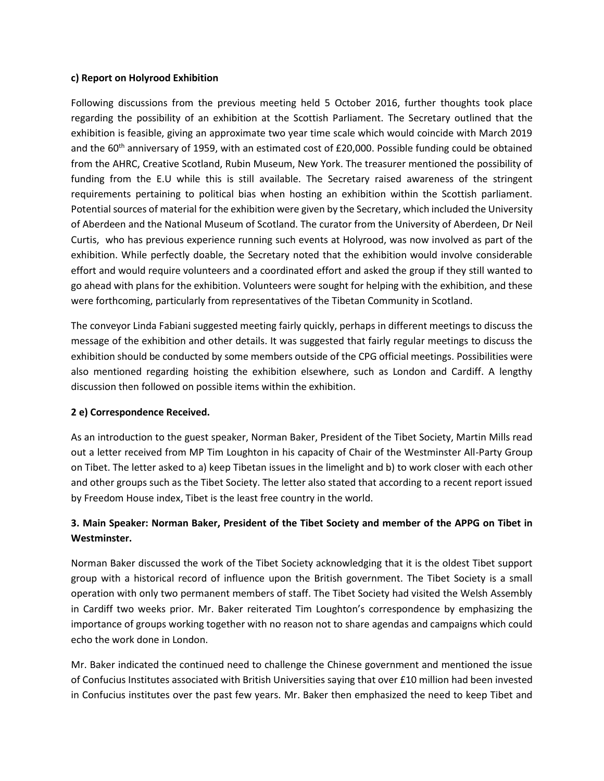#### **c) Report on Holyrood Exhibition**

Following discussions from the previous meeting held 5 October 2016, further thoughts took place regarding the possibility of an exhibition at the Scottish Parliament. The Secretary outlined that the exhibition is feasible, giving an approximate two year time scale which would coincide with March 2019 and the  $60<sup>th</sup>$  anniversary of 1959, with an estimated cost of £20,000. Possible funding could be obtained from the AHRC, Creative Scotland, Rubin Museum, New York. The treasurer mentioned the possibility of funding from the E.U while this is still available. The Secretary raised awareness of the stringent requirements pertaining to political bias when hosting an exhibition within the Scottish parliament. Potential sources of material for the exhibition were given by the Secretary, which included the University of Aberdeen and the National Museum of Scotland. The curator from the University of Aberdeen, Dr Neil Curtis, who has previous experience running such events at Holyrood, was now involved as part of the exhibition. While perfectly doable, the Secretary noted that the exhibition would involve considerable effort and would require volunteers and a coordinated effort and asked the group if they still wanted to go ahead with plans for the exhibition. Volunteers were sought for helping with the exhibition, and these were forthcoming, particularly from representatives of the Tibetan Community in Scotland.

The conveyor Linda Fabiani suggested meeting fairly quickly, perhaps in different meetings to discuss the message of the exhibition and other details. It was suggested that fairly regular meetings to discuss the exhibition should be conducted by some members outside of the CPG official meetings. Possibilities were also mentioned regarding hoisting the exhibition elsewhere, such as London and Cardiff. A lengthy discussion then followed on possible items within the exhibition.

#### **2 e) Correspondence Received.**

As an introduction to the guest speaker, Norman Baker, President of the Tibet Society, Martin Mills read out a letter received from MP Tim Loughton in his capacity of Chair of the Westminster All-Party Group on Tibet. The letter asked to a) keep Tibetan issues in the limelight and b) to work closer with each other and other groups such as the Tibet Society. The letter also stated that according to a recent report issued by Freedom House index, Tibet is the least free country in the world.

# **3. Main Speaker: Norman Baker, President of the Tibet Society and member of the APPG on Tibet in Westminster.**

Norman Baker discussed the work of the Tibet Society acknowledging that it is the oldest Tibet support group with a historical record of influence upon the British government. The Tibet Society is a small operation with only two permanent members of staff. The Tibet Society had visited the Welsh Assembly in Cardiff two weeks prior. Mr. Baker reiterated Tim Loughton's correspondence by emphasizing the importance of groups working together with no reason not to share agendas and campaigns which could echo the work done in London.

Mr. Baker indicated the continued need to challenge the Chinese government and mentioned the issue of Confucius Institutes associated with British Universities saying that over £10 million had been invested in Confucius institutes over the past few years. Mr. Baker then emphasized the need to keep Tibet and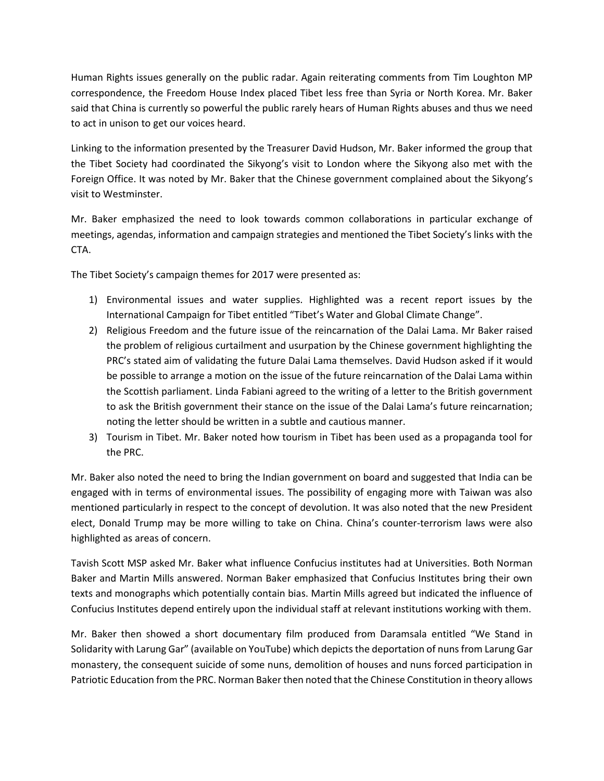Human Rights issues generally on the public radar. Again reiterating comments from Tim Loughton MP correspondence, the Freedom House Index placed Tibet less free than Syria or North Korea. Mr. Baker said that China is currently so powerful the public rarely hears of Human Rights abuses and thus we need to act in unison to get our voices heard.

Linking to the information presented by the Treasurer David Hudson, Mr. Baker informed the group that the Tibet Society had coordinated the Sikyong's visit to London where the Sikyong also met with the Foreign Office. It was noted by Mr. Baker that the Chinese government complained about the Sikyong's visit to Westminster.

Mr. Baker emphasized the need to look towards common collaborations in particular exchange of meetings, agendas, information and campaign strategies and mentioned the Tibet Society's links with the CTA.

The Tibet Society's campaign themes for 2017 were presented as:

- 1) Environmental issues and water supplies. Highlighted was a recent report issues by the International Campaign for Tibet entitled "Tibet's Water and Global Climate Change".
- 2) Religious Freedom and the future issue of the reincarnation of the Dalai Lama. Mr Baker raised the problem of religious curtailment and usurpation by the Chinese government highlighting the PRC's stated aim of validating the future Dalai Lama themselves. David Hudson asked if it would be possible to arrange a motion on the issue of the future reincarnation of the Dalai Lama within the Scottish parliament. Linda Fabiani agreed to the writing of a letter to the British government to ask the British government their stance on the issue of the Dalai Lama's future reincarnation; noting the letter should be written in a subtle and cautious manner.
- 3) Tourism in Tibet. Mr. Baker noted how tourism in Tibet has been used as a propaganda tool for the PRC.

Mr. Baker also noted the need to bring the Indian government on board and suggested that India can be engaged with in terms of environmental issues. The possibility of engaging more with Taiwan was also mentioned particularly in respect to the concept of devolution. It was also noted that the new President elect, Donald Trump may be more willing to take on China. China's counter-terrorism laws were also highlighted as areas of concern.

Tavish Scott MSP asked Mr. Baker what influence Confucius institutes had at Universities. Both Norman Baker and Martin Mills answered. Norman Baker emphasized that Confucius Institutes bring their own texts and monographs which potentially contain bias. Martin Mills agreed but indicated the influence of Confucius Institutes depend entirely upon the individual staff at relevant institutions working with them.

Mr. Baker then showed a short documentary film produced from Daramsala entitled "We Stand in Solidarity with Larung Gar" (available on YouTube) which depicts the deportation of nuns from Larung Gar monastery, the consequent suicide of some nuns, demolition of houses and nuns forced participation in Patriotic Education from the PRC. Norman Baker then noted that the Chinese Constitution in theory allows